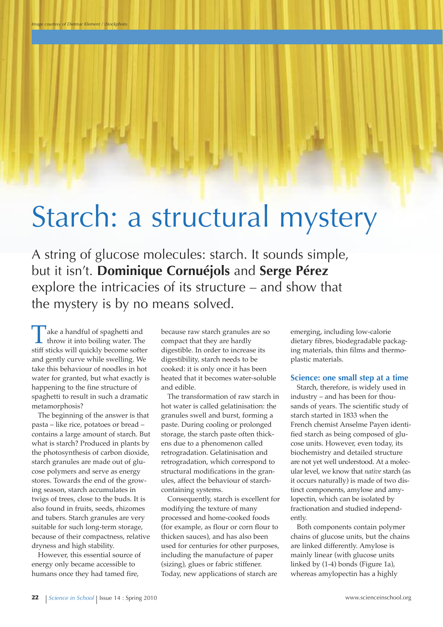# Starch: a structural mystery

A string of glucose molecules: starch. It sounds simple, but it isn't. **dominique Cornuéjols** and **Serge Pérez** explore the intricacies of its structure – and show that the mystery is by no means solved.

ake a handful of spaghetti and throw it into boiling water. The stiff sticks will quickly become softer and gently curve while swelling. We take this behaviour of noodles in hot water for granted, but what exactly is happening to the fine structure of spaghetti to result in such a dramatic metamorphosis?

The beginning of the answer is that pasta – like rice, potatoes or bread – contains a large amount of starch. But what is starch? Produced in plants by the photosynthesis of carbon dioxide, starch granules are made out of glucose polymers and serve as energy stores. Towards the end of the growing season, starch accumulates in twigs of trees, close to the buds. It is also found in fruits, seeds, rhizomes and tubers. Starch granules are very suitable for such long-term storage, because of their compactness, relative dryness and high stability.

However, this essential source of energy only became accessible to humans once they had tamed fire,

because raw starch granules are so compact that they are hardly digestible. In order to increase its digestibility, starch needs to be cooked: it is only once it has been heated that it becomes water-soluble and edible.

The transformation of raw starch in hot water is called gelatinisation: the granules swell and burst, forming a paste. During cooling or prolonged storage, the starch paste often thickens due to a phenomenon called retrogradation. Gelatinisation and retrogradation, which correspond to structural modifications in the granules, affect the behaviour of starchcontaining systems.

Consequently, starch is excellent for modifying the texture of many processed and home-cooked foods (for example, as flour or corn flour to thicken sauces), and has also been used for centuries for other purposes, including the manufacture of paper (sizing), glues or fabric stiffener. Today, new applications of starch are

emerging, including low-calorie dietary fibres, biodegradable packaging materials, thin films and thermoplastic materials.

#### **Science: one small step at a time**

Starch, therefore, is widely used in industry – and has been for thousands of years. The scientific study of starch started in 1833 when the French chemist Anselme Payen identified starch as being composed of glucose units. However, even today, its biochemistry and detailed structure are not yet well understood. At a molecular level, we know that *native* starch (as it occurs naturally) is made of two distinct components, amylose and amylopectin, which can be isolated by fractionation and studied independently.

Both components contain polymer chains of glucose units, but the chains are linked differently. Amylose is mainly linear (with glucose units linked by (1-4) bonds (Figure 1a), whereas amylopectin has a highly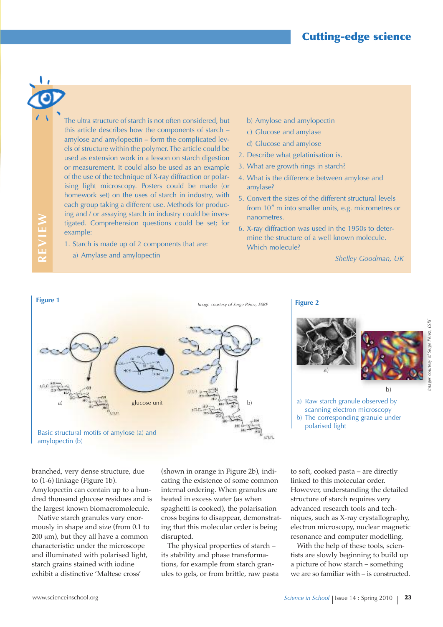**R**

**EvIE**

**W**

The ultra structure of starch is not often considered, but this article describes how the components of starch – amylose and amylopectin – form the complicated levels of structure within the polymer. The article could be used as extension work in a lesson on starch digestion or measurement. It could also be used as an example of the use of the technique of X-ray diffraction or polarising light microscopy. Posters could be made (or homework set) on the uses of starch in industry, with each group taking a different use. Methods for producing and / or assaying starch in industry could be investigated. Comprehension questions could be set; for example:

- 1. Starch is made up of 2 components that are:
- a) Amylase and amylopectin
- b) Amylose and amylopectin
- c) Glucose and amylase
- d) Glucose and amylose
- 2. Describe what gelatinisation is.
- 3. What are growth rings in starch?
- 4. What is the difference between amylose and amylase?
- 5. Convert the sizes of the different structural levels from  $10<sup>9</sup>$  m into smaller units, e.g. micrometres or nanometres.
- 6. X-ray diffraction was used in the 1950s to determine the structure of a well known molecule. Which molecule?

*Shelley Goodman, UK*





a) Raw starch granule observed by scanning electron microscopy b) The corresponding granule under polarised light

branched, very dense structure, due to (1-6) linkage (Figure 1b). Amylopectin can contain up to a hundred thousand glucose residues and is the largest known biomacromolecule.

Native starch granules vary enormously in shape and size (from 0.1 to  $200 \mu m$ ), but they all have a common characteristic: under the microscope and illuminated with polarised light, starch grains stained with iodine exhibit a distinctive 'Maltese cross'

(shown in orange in Figure 2b), indicating the existence of some common internal ordering. When granules are heated in excess water (as when spaghetti is cooked), the polarisation cross begins to disappear, demonstrating that this molecular order is being disrupted.

The physical properties of starch – its stability and phase transformations, for example from starch granules to gels, or from brittle, raw pasta to soft, cooked pasta – are directly linked to this molecular order. However, understanding the detailed structure of starch requires very advanced research tools and techniques, such as X-ray crystallography, electron microscopy, nuclear magnetic resonance and computer modelling.

With the help of these tools, scientists are slowly beginning to build up a picture of how starch – something we are so familiar with – is constructed. ESRF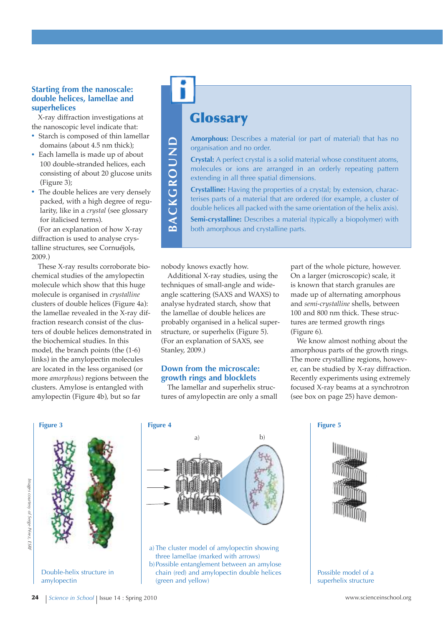#### **Starting from the nanoscale: double helices, lamellae and superhelices**

X-ray diffraction investigations at the nanoscopic level indicate that:

- **·** Starch is composed of thin lamellar domains (about 4.5 nm thick);
- **·** Each lamella is made up of about 100 double-stranded helices, each consisting of about 20 glucose units (Figure 3);
- **·** The double helices are very densely packed, with a high degree of regularity, like in a *crystal* (see glossary for italicised terms).

(For an explanation of how X-ray diffraction is used to analyse crystalline structures, see Cornuéjols, 2009.)

These X-ray results corroborate biochemical studies of the amylopectin molecule which show that this huge molecule is organised in *crystalline* clusters of double helices (Figure 4a): the lamellae revealed in the X-ray diffraction research consist of the clusters of double helices demonstrated in the biochemical studies. In this model, the branch points (the (1-6) links) in the amylopectin molecules are located in the less organised (or more *amorphous*) regions between the clusters. Amylose is entangled with amylopectin (Figure 4b), but so far

## **Glossary**

**Amorphous:** Describes a material (or part of material) that has no organisation and no order.

**Crystal:** A perfect crystal is a solid material whose constituent atoms, molecules or ions are arranged in an orderly repeating pattern extending in all three spatial dimensions.

**Crystalline:** Having the properties of a crystal; by extension, characterises parts of a material that are ordered (for example, a cluster of double helices all packed with the same orientation of the helix axis).

**Semi-crystalline:** Describes a material (typically a biopolymer) with both amorphous and crystalline parts. **<sup>A</sup>**

nobody knows exactly how.

**B**

**C k G R O u n d**

Additional X-ray studies, using the techniques of small-angle and wideangle scattering (SAXS and WAXS) to analyse hydrated starch, show that the lamellae of double helices are probably organised in a helical superstructure, or superhelix (Figure 5). (For an explanation of SAXS, see Stanley, 2009.)

#### **down from the microscale: growth rings and blocklets**

The lamellar and superhelix structures of amylopectin are only a small part of the whole picture, however. On a larger (microscopic) scale, it is known that starch granules are made up of alternating amorphous and *semi-crystalline* shells, between 100 and 800 nm thick. These structures are termed growth rings (Figure 6).

We know almost nothing about the amorphous parts of the growth rings. The more crystalline regions, however, can be studied by X-ray diffraction. Recently experiments using extremely focused X-ray beams at a synchrotron (see box on page 25) have demon-



Double-helix structure in amylopectin



a) The cluster model of amylopectin showing three lamellae (marked with arrows) b)Possible entanglement between an amylose chain (red) and amylopectin double helices (green and yellow)



Possible model of a superhelix structure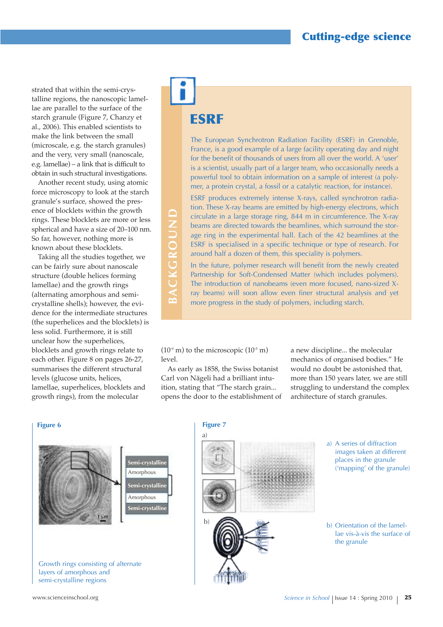strated that within the semi-crystalline regions, the nanoscopic lamellae are parallel to the surface of the starch granule (Figure 7, Chanzy et al., 2006). This enabled scientists to make the link between the small (microscale, e.g. the starch granules) and the very, very small (nanoscale, e.g. lamellae) – a link that is difficult to obtain in such structural investigations.

Another recent study, using atomic force microscopy to look at the starch granule's surface, showed the presence of blocklets within the growth rings. These blocklets are more or less spherical and have a size of 20–100 nm. So far, however, nothing more is known about these blocklets.

Taking all the studies together, we can be fairly sure about nanoscale structure (double helices forming lamellae) and the growth rings (alternating amorphous and semicrystalline shells); however, the evidence for the intermediate structures (the superhelices and the blocklets) is less solid. Furthermore, it is still unclear how the superhelices, blocklets and growth rings relate to each other. Figure 8 on pages 26-27, summarises the different structural levels (glucose units, helices, lamellae, superhelices, blocklets and growth rings), from the molecular

# **ESRF**

The European Synchrotron Radiation Facility (ESRF) in Grenoble, France, is a good example of a large facility operating day and night for the benefit of thousands of users from all over the world. A 'user' is a scientist, usually part of a larger team, who occasionally needs a powerful tool to obtain information on a sample of interest (a polymer, a protein crystal, a fossil or a catalytic reaction, for instance).

ESRF produces extremely intense X-rays, called synchrotron radiation. These X-ray beams are emitted by high-energy electrons, which circulate in a large storage ring, 844 m in circumference. The X-ray beams are directed towards the beamlines, which surround the storage ring in the experimental hall. Each of the 42 beamlines at the ESRF is specialised in a specific technique or type of research. For around half a dozen of them, this speciality is polymers.

In the future, polymer research will benefit from the newly created Partnership for Soft-Condensed Matter (which includes polymers). The introduction of nanobeams (even more focused, nano-sized Xray beams) will soon allow even finer structural analysis and yet more progress in the study of polymers, including starch.

 $(10<sup>-9</sup> m)$  to the microscopic  $(10<sup>-5</sup> m)$ level.

**B**

**C k G R O u n d**

As early as 1858, the Swiss botanist Carl von Nägeli had a brilliant intuition, stating that "The starch grain... opens the door to the establishment of a new discipline... the molecular mechanics of organised bodies." He would no doubt be astonished that, more than 150 years later, we are still struggling to understand the complex architecture of starch granules.

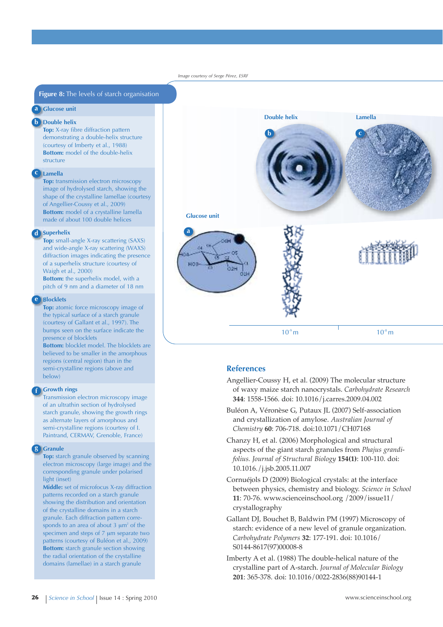#### *Image courtesy of Serge Pérez, ESRF*

#### **Figure 8:** The levels of starch organisation

#### **1 Glucose unit**

**a**

#### **b Double** helix

**Top:** X-ray fibre diffraction pattern demonstrating a double-helix structure (courtesy of Imberty et al., 1988) **Bottom:** model of the double-helix structure

#### **Lamella c**

**Top:** transmission electron microscopy image of hydrolysed starch, showing the shape of the crystalline lamellae (courtesy of Angellier-Coussy et al., 2009) **Bottom:** model of a crystalline lamella made of about 100 double helices

#### **Superhelix d**

**Top:** small-angle X-ray scattering (SAXS) and wide-angle X-ray scattering (WAXS) diffraction images indicating the presence of a superhelix structure (courtesy of Waigh et al., 2000)

**Bottom:** the superhelix model, with a pitch of 9 nm and a diameter of 18 nm

#### **Blocklets**

**e**

**f**

**g**

**Top:** atomic force microscopy image of the typical surface of a starch granule (courtesy of Gallant et al., 1997). The bumps seen on the surface indicate the presence of blocklets

**Bottom:** blocklet model. The blocklets are believed to be smaller in the amorphous regions (central region) than in the semi-crystalline regions (above and below)

#### **Growth rings**

Transmission electron microscopy image of an ultrathin section of hydrolysed starch granule, showing the growth rings as alternate layers of amorphous and semi-crystalline regions (courtesy of I. Paintrand, CERMAV, Grenoble, France)

#### **Granule**

**Top:** starch granule observed by scanning electron microscopy (large image) and the corresponding granule under polarised light (inset)

**Middle:** set of microfocus X-ray diffraction patterns recorded on a starch granule showing the distribution and orientation of the crystalline domains in a starch granule. Each diffraction pattern corresponds to an area of about  $3 \mu m^2$  of the specimen and steps of  $7 \mu m$  separate two patterns (courtesy of Buléon et al., 2009) **Bottom:** starch granule section showing the radial orientation of the crystalline domains (lamellae) in a starch granule



#### **References**

- Angellier-Coussy H, et al. (2009) The molecular structure of waxy maize starch nanocrystals. *Carbohydrate Research* **344**: 1558-1566. doi: 10.1016/j.carres.2009.04.002
- Buléon A, Véronèse G, Putaux JL (2007) Self-association and crystallization of amylose. *Australian Journal of Chemistry* **60**: 706-718. doi:10.1071/CH07168
- Chanzy H, et al. (2006) Morphological and structural aspects of the giant starch granules from *Phajus grandifolius. Journal of Structural Biology* **154(1)**: 100-110. doi: 10.1016./j.jsb.2005.11.007
- Cornuéjols D (2009) Biological crystals: at the interface between physics, chemistry and biology. *Science in School* **11**: 70-76. www.scienceinschool.org /2009/issue11/ crystallography
- Gallant DJ, Bouchet B, Baldwin PM (1997) Microscopy of starch: evidence of a new level of granule organization. *Carbohydrate Polymers* **32**: 177-191. doi: 10.1016/ S0144-8617(97)00008-8
- Imberty A et al. (1988) The double-helical nature of the crystalline part of A-starch. *Journal of Molecular Biology* **201**: 365-378. doi: 10.1016/0022-2836(88)90144-1